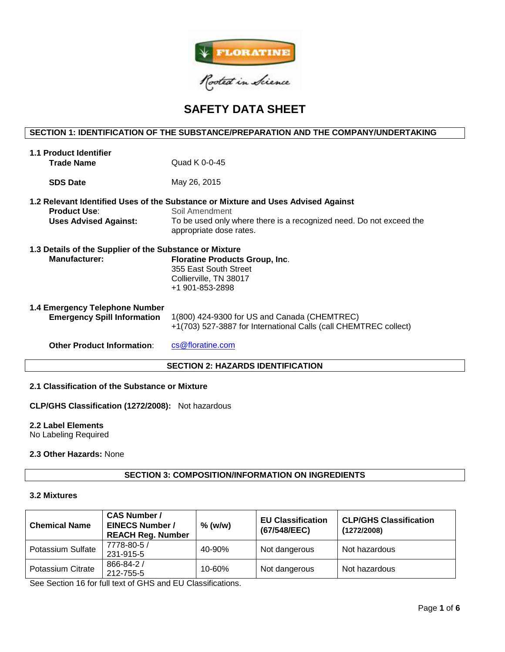

# **SAFETY DATA SHEET**

# **SECTION 1: IDENTIFICATION OF THE SUBSTANCE/PREPARATION AND THE COMPANY/UNDERTAKING**

| <b>1.1 Product Identifier</b>                           |                                                                                                                  |  |  |  |  |
|---------------------------------------------------------|------------------------------------------------------------------------------------------------------------------|--|--|--|--|
| <b>Trade Name</b>                                       | Quad K 0-0-45                                                                                                    |  |  |  |  |
| <b>SDS Date</b>                                         | May 26, 2015                                                                                                     |  |  |  |  |
| <b>Product Use:</b>                                     | 1.2 Relevant Identified Uses of the Substance or Mixture and Uses Advised Against<br>Soil Amendment              |  |  |  |  |
| <b>Uses Advised Against:</b>                            | To be used only where there is a recognized need. Do not exceed the<br>appropriate dose rates.                   |  |  |  |  |
| 1.3 Details of the Supplier of the Substance or Mixture |                                                                                                                  |  |  |  |  |
| <b>Manufacturer:</b>                                    | <b>Floratine Products Group, Inc.</b><br>355 East South Street<br>Collierville, TN 38017<br>+1 901-853-2898      |  |  |  |  |
| 1.4 Emergency Telephone Number                          |                                                                                                                  |  |  |  |  |
| <b>Emergency Spill Information</b>                      | 1(800) 424-9300 for US and Canada (CHEMTREC)<br>+1(703) 527-3887 for International Calls (call CHEMTREC collect) |  |  |  |  |
| <b>Other Product Information:</b>                       | cs@floratine.com                                                                                                 |  |  |  |  |
| <b>SECTION 2: HAZARDS IDENTIFICATION</b>                |                                                                                                                  |  |  |  |  |

# **2.1 Classification of the Substance or Mixture**

**CLP/GHS Classification (1272/2008):** Not hazardous

#### **2.2 Label Elements**

No Labeling Required

## **2.3 Other Hazards:** None

# **SECTION 3: COMPOSITION/INFORMATION ON INGREDIENTS**

#### **3.2 Mixtures**

| <b>Chemical Name</b> | <b>CAS Number /</b><br><b>EINECS Number /</b><br><b>REACH Reg. Number</b> | $%$ (w/w)  | <b>EU Classification</b><br>(67/548/EEC) | <b>CLP/GHS Classification</b><br>(1272/2008) |
|----------------------|---------------------------------------------------------------------------|------------|------------------------------------------|----------------------------------------------|
| Potassium Sulfate    | 7778-80-5 /<br>231-915-5                                                  | 40-90%     | Not dangerous                            | Not hazardous                                |
| Potassium Citrate    | $866 - 84 - 2/$<br>212-755-5                                              | $10 - 60%$ | Not dangerous                            | Not hazardous                                |

See Section 16 for full text of GHS and EU Classifications.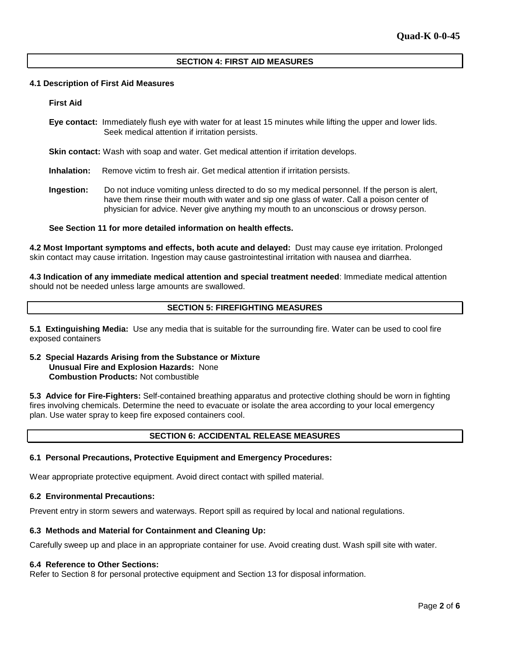## **SECTION 4: FIRST AID MEASURES**

#### **4.1 Description of First Aid Measures**

#### **First Aid**

**Eye contact:** Immediately flush eye with water for at least 15 minutes while lifting the upper and lower lids. Seek medical attention if irritation persists.

**Skin contact:** Wash with soap and water. Get medical attention if irritation develops.

**Inhalation:** Remove victim to fresh air. Get medical attention if irritation persists.

**Ingestion:** Do not induce vomiting unless directed to do so my medical personnel. If the person is alert, have them rinse their mouth with water and sip one glass of water. Call a poison center of physician for advice. Never give anything my mouth to an unconscious or drowsy person.

#### **See Section 11 for more detailed information on health effects.**

**4.2 Most Important symptoms and effects, both acute and delayed:** Dust may cause eye irritation. Prolonged skin contact may cause irritation. Ingestion may cause gastrointestinal irritation with nausea and diarrhea.

**4.3 Indication of any immediate medical attention and special treatment needed**: Immediate medical attention should not be needed unless large amounts are swallowed.

# **SECTION 5: FIREFIGHTING MEASURES**

**5.1 Extinguishing Media:** Use any media that is suitable for the surrounding fire. Water can be used to cool fire exposed containers

### **5.2 Special Hazards Arising from the Substance or Mixture Unusual Fire and Explosion Hazards:** None **Combustion Products:** Not combustible

**5.3 Advice for Fire-Fighters:** Self-contained breathing apparatus and protective clothing should be worn in fighting fires involving chemicals. Determine the need to evacuate or isolate the area according to your local emergency plan. Use water spray to keep fire exposed containers cool.

# **SECTION 6: ACCIDENTAL RELEASE MEASURES**

#### **6.1 Personal Precautions, Protective Equipment and Emergency Procedures:**

Wear appropriate protective equipment. Avoid direct contact with spilled material.

#### **6.2 Environmental Precautions:**

Prevent entry in storm sewers and waterways. Report spill as required by local and national regulations.

#### **6.3 Methods and Material for Containment and Cleaning Up:**

Carefully sweep up and place in an appropriate container for use. Avoid creating dust. Wash spill site with water.

#### **6.4 Reference to Other Sections:**

Refer to Section 8 for personal protective equipment and Section 13 for disposal information.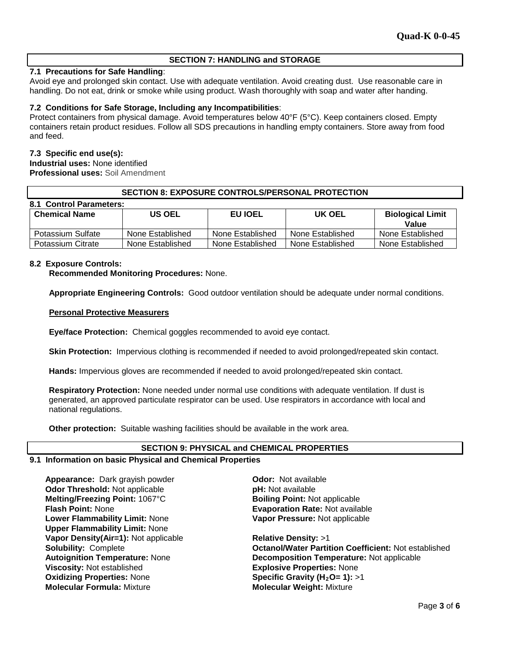# **SECTION 7: HANDLING and STORAGE**

# **7.1 Precautions for Safe Handling**:

Avoid eye and prolonged skin contact. Use with adequate ventilation. Avoid creating dust. Use reasonable care in handling. Do not eat, drink or smoke while using product. Wash thoroughly with soap and water after handing.

## **7.2 Conditions for Safe Storage, Including any Incompatibilities**:

Protect containers from physical damage. Avoid temperatures below 40°F (5°C). Keep containers closed. Empty containers retain product residues. Follow all SDS precautions in handling empty containers. Store away from food and feed.

## **7.3 Specific end use(s):**

**Industrial uses:** None identified **Professional uses:** Soil Amendment

## **SECTION 8: EXPOSURE CONTROLS/PERSONAL PROTECTION**

| 8.1 Control Parameters: |                  |                  |                  |                                  |  |  |  |  |
|-------------------------|------------------|------------------|------------------|----------------------------------|--|--|--|--|
| <b>Chemical Name</b>    | <b>US OEL</b>    | <b>EU IOEL</b>   | UK OEL           | <b>Biological Limit</b><br>Value |  |  |  |  |
| Potassium Sulfate       | None Established | None Established | None Established | None Established                 |  |  |  |  |
| Potassium Citrate       | None Established | None Established | None Established | None Established                 |  |  |  |  |

## **8.2 Exposure Controls:**

**Recommended Monitoring Procedures:** None.

**Appropriate Engineering Controls:** Good outdoor ventilation should be adequate under normal conditions.

## **Personal Protective Measurers**

**Eye/face Protection:** Chemical goggles recommended to avoid eye contact.

**Skin Protection:** Impervious clothing is recommended if needed to avoid prolonged/repeated skin contact.

**Hands:** Impervious gloves are recommended if needed to avoid prolonged/repeated skin contact.

**Respiratory Protection:** None needed under normal use conditions with adequate ventilation. If dust is generated, an approved particulate respirator can be used. Use respirators in accordance with local and national regulations.

**Other protection:** Suitable washing facilities should be available in the work area.

#### **SECTION 9: PHYSICAL and CHEMICAL PROPERTIES**

#### **9.1 Information on basic Physical and Chemical Properties**

**Appearance:** Dark grayish powder **Odor:** Not available **Odor Threshold:** Not applicable **pH:** Not available **Melting/Freezing Point:** 1067°C **Boiling Point:** Not applicable **Flash Point:** None **Evaporation Rate:** Not available **Lower Flammability Limit:** None **Upper Flammability Limit:** None **Vapor Density(Air=1):** Not applicable **Relative Density:** >1 **Viscosity:** Not established **Explosive Properties:** None **Oxidizing Properties:** None **Specific Gravity (H<sub>2</sub>O= 1): >1<br>
<b>Molecular Formula:** Mixture **Specific Gravity (H2O= 1): >1** 

**Vapor Pressure:** Not applicable

**Solubility:** Complete **Octanol/Water Partition Coefficient:** Not established **Autoignition Temperature:** None **Decomposition Temperature:** Not applicable **Molecular Weight: Mixture**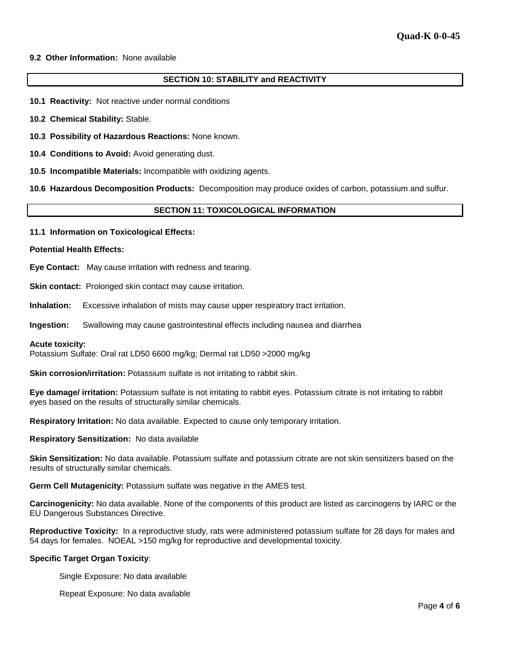#### **9.2 Other Information:** None available

# **SECTION 10: STABILITY and REACTIVITY**

- **10.1 Reactivity:** Not reactive under normal conditions
- **10.2 Chemical Stability:** Stable.
- **10.3 Possibility of Hazardous Reactions:** None known.
- **10.4 Conditions to Avoid:** Avoid generating dust.
- **10.5 Incompatible Materials:** Incompatible with oxidizing agents.

**10.6 Hazardous Decomposition Products:** Decomposition may produce oxides of carbon, potassium and sulfur.

#### **SECTION 11: TOXICOLOGICAL INFORMATION**

**11.1 Information on Toxicological Effects:** 

#### **Potential Health Effects:**

**Eye Contact:** May cause irritation with redness and tearing.

**Skin contact:** Prolonged skin contact may cause irritation.

**Inhalation:** Excessive inhalation of mists may cause upper respiratory tract irritation.

**Ingestion:** Swallowing may cause gastrointestinal effects including nausea and diarrhea

#### **Acute toxicity:**

Potassium Sulfate: Oral rat LD50 6600 mg/kg; Dermal rat LD50 >2000 mg/kg

**Skin corrosion/irritation:** Potassium sulfate is not irritating to rabbit skin.

**Eye damage/ irritation:** Potassium sulfate is not irritating to rabbit eyes. Potassium citrate is not irritating to rabbit eyes based on the results of structurally similar chemicals.

**Respiratory Irritation:** No data available. Expected to cause only temporary irritation.

**Respiratory Sensitization:** No data available

**Skin Sensitization:** No data available. Potassium sulfate and potassium citrate are not skin sensitizers based on the results of structurally similar chemicals.

**Germ Cell Mutagenicity:** Potassium sulfate was negative in the AMES test.

**Carcinogenicity:** No data available. None of the components of this product are listed as carcinogens by IARC or the EU Dangerous Substances Directive.

**Reproductive Toxicity:** In a reproductive study, rats were administered potassium sulfate for 28 days for males and 54 days for females. NOEAL >150 mg/kg for reproductive and developmental toxicity.

#### **Specific Target Organ Toxicity**:

Single Exposure: No data available

Repeat Exposure: No data available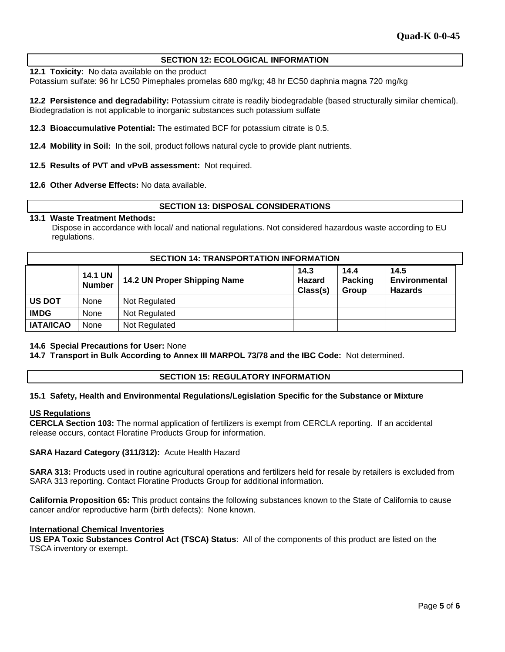## **SECTION 12: ECOLOGICAL INFORMATION**

**12.1 Toxicity:** No data available on the product

Potassium sulfate: 96 hr LC50 Pimephales promelas 680 mg/kg; 48 hr EC50 daphnia magna 720 mg/kg

**12.2 Persistence and degradability:** Potassium citrate is readily biodegradable (based structurally similar chemical). Biodegradation is not applicable to inorganic substances such potassium sulfate

**12.3 Bioaccumulative Potential:** The estimated BCF for potassium citrate is 0.5.

**12.4 Mobility in Soil:** In the soil, product follows natural cycle to provide plant nutrients.

**12.5 Results of PVT and vPvB assessment:** Not required.

**12.6 Other Adverse Effects:** No data available.

## **SECTION 13: DISPOSAL CONSIDERATIONS**

## **13.1 Waste Treatment Methods:**

Dispose in accordance with local/ and national regulations. Not considered hazardous waste according to EU regulations.

| <b>SECTION 14: TRANSPORTATION INFORMATION</b> |                                 |                              |                            |                                 |                                         |  |
|-----------------------------------------------|---------------------------------|------------------------------|----------------------------|---------------------------------|-----------------------------------------|--|
|                                               | <b>14.1 UN</b><br><b>Number</b> | 14.2 UN Proper Shipping Name | 14.3<br>Hazard<br>Class(s) | 14.4<br><b>Packing</b><br>Group | 14.5<br>Environmental<br><b>Hazards</b> |  |
| <b>US DOT</b>                                 | None                            | Not Regulated                |                            |                                 |                                         |  |
| <b>IMDG</b>                                   | None                            | Not Regulated                |                            |                                 |                                         |  |
| <b>IATA/ICAO</b>                              | None                            | Not Regulated                |                            |                                 |                                         |  |

#### **14.6 Special Precautions for User:** None

**14.7 Transport in Bulk According to Annex III MARPOL 73/78 and the IBC Code:** Not determined.

#### **SECTION 15: REGULATORY INFORMATION**

#### **15.1 Safety, Health and Environmental Regulations/Legislation Specific for the Substance or Mixture**

#### **US Regulations**

**CERCLA Section 103:** The normal application of fertilizers is exempt from CERCLA reporting. If an accidental release occurs, contact Floratine Products Group for information.

#### **SARA Hazard Category (311/312):** Acute Health Hazard

**SARA 313:** Products used in routine agricultural operations and fertilizers held for resale by retailers is excluded from SARA 313 reporting. Contact Floratine Products Group for additional information.

**California Proposition 65:** This product contains the following substances known to the State of California to cause cancer and/or reproductive harm (birth defects): None known.

#### **International Chemical Inventories**

**US EPA Toxic Substances Control Act (TSCA) Status**: All of the components of this product are listed on the TSCA inventory or exempt.